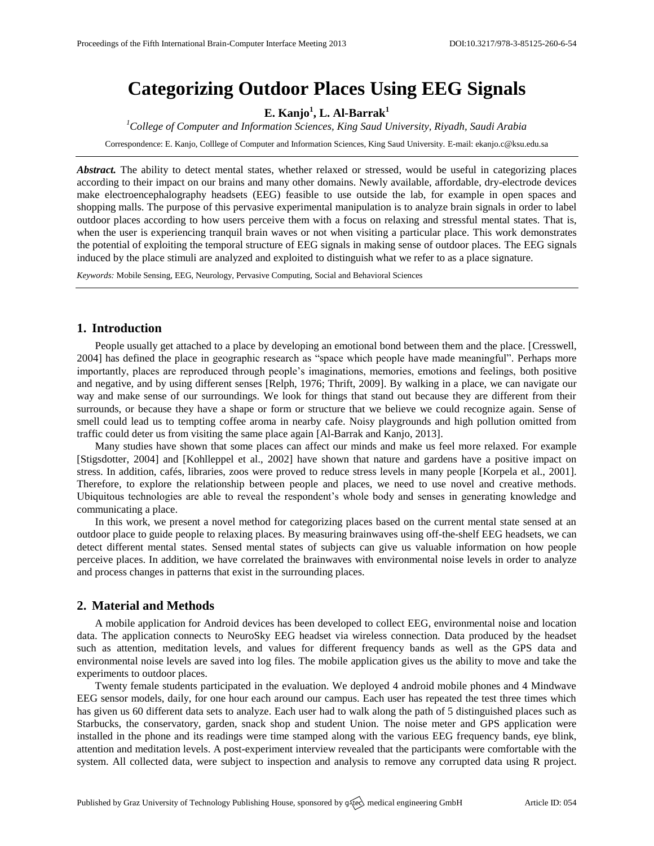# **Categorizing Outdoor Places Using EEG Signals**

**E. Kanjo<sup>1</sup> , L. Al-Barrak<sup>1</sup>**

*<sup>1</sup>College of Computer and Information Sciences, King Saud University, Riyadh, Saudi Arabia*

Correspondence: E. Kanjo, Colllege of Computer and Information Sciences, King Saud University. E-mail: [ekanjo.c@ksu.edu.sa](mailto:ekanjo.c@ksu.edu.sa)

Abstract. The ability to detect mental states, whether relaxed or stressed, would be useful in categorizing places according to their impact on our brains and many other domains. Newly available, affordable, dry-electrode devices make electroencephalography headsets (EEG) feasible to use outside the lab, for example in open spaces and shopping malls. The purpose of this pervasive experimental manipulation is to analyze brain signals in order to label outdoor places according to how users perceive them with a focus on relaxing and stressful mental states. That is, when the user is experiencing tranquil brain waves or not when visiting a particular place. This work demonstrates the potential of exploiting the temporal structure of EEG signals in making sense of outdoor places. The EEG signals induced by the place stimuli are analyzed and exploited to distinguish what we refer to as a place signature.

*Keywords:* Mobile Sensing, EEG, Neurology, Pervasive Computing, Social and Behavioral Sciences

## **1. Introduction**

People usually get attached to a place by developing an emotional bond between them and the place. [Cresswell, 2004] has defined the place in geographic research as "space which people have made meaningful". Perhaps more importantly, places are reproduced through people's imaginations, memories, emotions and feelings, both positive and negative, and by using different senses [Relph, 1976; Thrift, 2009]. By walking in a place, we can navigate our way and make sense of our surroundings. We look for things that stand out because they are different from their surrounds, or because they have a shape or form or structure that we believe we could recognize again. Sense of smell could lead us to tempting coffee aroma in nearby cafe. Noisy playgrounds and high pollution omitted from traffic could deter us from visiting the same place again [Al-Barrak and Kanjo, 2013].

Many studies have shown that some places can affect our minds and make us feel more relaxed. For example [Stigsdotter, 2004] and [Kohlleppel et al., 2002] have shown that nature and gardens have a positive impact on stress. In addition, cafés, libraries, zoos were proved to reduce stress levels in many people [Korpela et al., 2001]. Therefore, to explore the relationship between people and places, we need to use novel and creative methods. Ubiquitous technologies are able to reveal the respondent's whole body and senses in generating knowledge and communicating a place.

In this work, we present a novel method for categorizing places based on the current mental state sensed at an outdoor place to guide people to relaxing places. By measuring brainwaves using off-the-shelf EEG headsets, we can detect different mental states. Sensed mental states of subjects can give us valuable information on how people perceive places. In addition, we have correlated the brainwaves with environmental noise levels in order to analyze and process changes in patterns that exist in the surrounding places.

#### **2. Material and Methods**

A mobile application for Android devices has been developed to collect EEG, environmental noise and location data. The application connects to NeuroSky EEG headset via wireless connection. Data produced by the headset such as attention, meditation levels, and values for different frequency bands as well as the GPS data and environmental noise levels are saved into log files. The mobile application gives us the ability to move and take the experiments to outdoor places.

Twenty female students participated in the evaluation. We deployed 4 android mobile phones and 4 Mindwave EEG sensor models, daily, for one hour each around our campus. Each user has repeated the test three times which has given us 60 different data sets to analyze. Each user had to walk along the path of 5 distinguished places such as Starbucks, the conservatory, garden, snack shop and student Union. The noise meter and GPS application were installed in the phone and its readings were time stamped along with the various EEG frequency bands, eye blink, attention and meditation levels. A post-experiment interview revealed that the participants were comfortable with the system. All collected data, were subject to inspection and analysis to remove any corrupted data using R project.